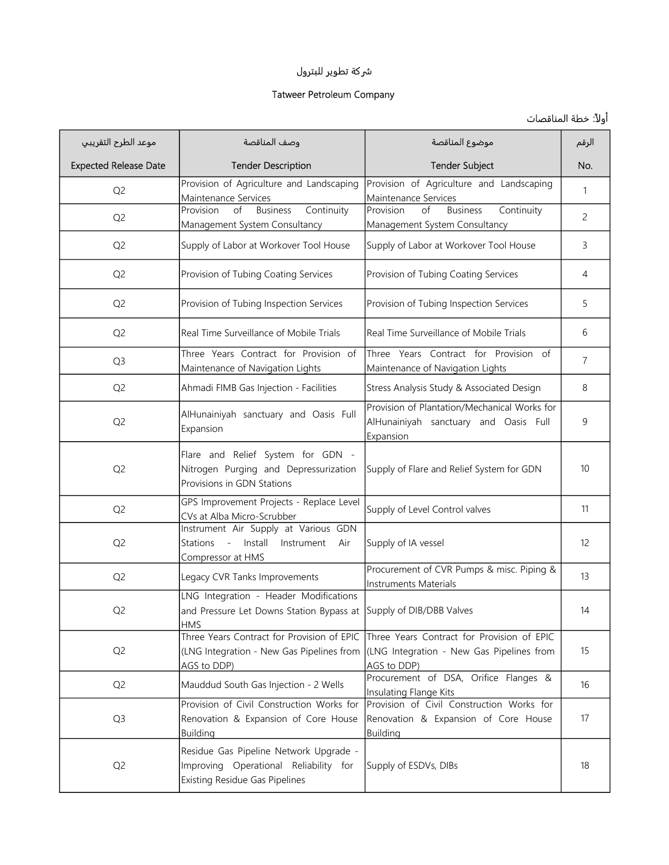## ුكة تطوير للبترول

## Tatweer Petroleum Company

## أولاً: خطة المناقصات

| موعد الطرح التقريبي          | وصف المناقصة                                                                                                              | موضوع المناقصة                                                                                         | الرقم          |
|------------------------------|---------------------------------------------------------------------------------------------------------------------------|--------------------------------------------------------------------------------------------------------|----------------|
| <b>Expected Release Date</b> | <b>Tender Description</b>                                                                                                 | <b>Tender Subject</b>                                                                                  | No.            |
| Q <sub>2</sub>               | Provision of Agriculture and Landscaping<br>Maintenance Services                                                          | Provision of Agriculture and Landscaping<br>Maintenance Services                                       | 1              |
| Q <sub>2</sub>               | Continuity<br>of<br><b>Business</b><br>Provision<br>Management System Consultancy                                         | Provision<br><b>Business</b><br>Continuity<br>of<br>Management System Consultancy                      | $\overline{c}$ |
| Q <sub>2</sub>               | Supply of Labor at Workover Tool House                                                                                    | Supply of Labor at Workover Tool House                                                                 | 3              |
| Q <sub>2</sub>               | Provision of Tubing Coating Services                                                                                      | Provision of Tubing Coating Services                                                                   | $\overline{4}$ |
| Q <sub>2</sub>               | Provision of Tubing Inspection Services                                                                                   | Provision of Tubing Inspection Services                                                                | 5              |
| Q <sub>2</sub>               | Real Time Surveillance of Mobile Trials                                                                                   | Real Time Surveillance of Mobile Trials                                                                | 6              |
| Q <sub>3</sub>               | Three Years Contract for Provision of<br>Maintenance of Navigation Lights                                                 | Three Years Contract for Provision of<br>Maintenance of Navigation Lights                              | $\overline{7}$ |
| Q <sub>2</sub>               | Ahmadi FIMB Gas Injection - Facilities                                                                                    | Stress Analysis Study & Associated Design                                                              | 8              |
| Q <sub>2</sub>               | AlHunainiyah sanctuary and Oasis Full<br>Expansion                                                                        | Provision of Plantation/Mechanical Works for<br>AlHunainiyah sanctuary and Oasis Full<br>Expansion     | 9              |
| Q <sub>2</sub>               | Flare and Relief System for GDN -<br>Nitrogen Purging and Depressurization<br>Provisions in GDN Stations                  | Supply of Flare and Relief System for GDN                                                              | 10             |
| Q <sub>2</sub>               | GPS Improvement Projects - Replace Level<br>CVs at Alba Micro-Scrubber                                                    | Supply of Level Control valves                                                                         | 11             |
| Q <sub>2</sub>               | Instrument Air Supply at Various GDN<br>lnstall<br>Stations -<br>Instrument<br>Air<br>Compressor at HMS                   | Supply of IA vessel                                                                                    | 12             |
| Q <sub>2</sub>               | Legacy CVR Tanks Improvements                                                                                             | Procurement of CVR Pumps & misc. Piping &<br>Instruments Materials                                     | 13             |
| Q <sub>2</sub>               | LNG Integration - Header Modifications<br>and Pressure Let Downs Station Bypass at Supply of DIB/DBB Valves<br><b>HMS</b> |                                                                                                        | 14             |
| Q <sub>2</sub>               | Three Years Contract for Provision of EPIC<br>(LNG Integration - New Gas Pipelines from<br>AGS to DDP)                    | Three Years Contract for Provision of EPIC<br>(LNG Integration - New Gas Pipelines from<br>AGS to DDP) | 15             |
| Q <sub>2</sub>               | Mauddud South Gas Injection - 2 Wells                                                                                     | Procurement of DSA, Orifice Flanges &<br>Insulating Flange Kits                                        | 16             |
| Q <sub>3</sub>               | Provision of Civil Construction Works for<br>Renovation & Expansion of Core House<br><b>Building</b>                      | Provision of Civil Construction Works for<br>Renovation & Expansion of Core House<br>Building          | 17             |
| Q <sub>2</sub>               | Residue Gas Pipeline Network Upgrade -<br>Improving Operational Reliability for<br><b>Existing Residue Gas Pipelines</b>  | Supply of ESDVs, DIBs                                                                                  | 18             |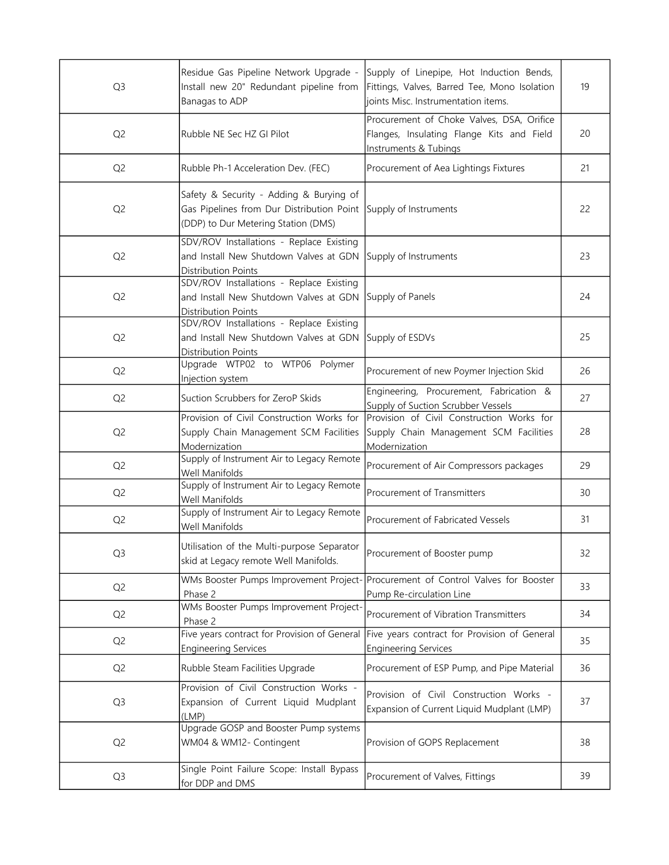| Q <sub>3</sub> | Residue Gas Pipeline Network Upgrade -<br>Install new 20" Redundant pipeline from<br>Banagas to ADP                                               | Supply of Linepipe, Hot Induction Bends,<br>Fittings, Valves, Barred Tee, Mono Isolation<br>joints Misc. Instrumentation items. | 19 |
|----------------|---------------------------------------------------------------------------------------------------------------------------------------------------|---------------------------------------------------------------------------------------------------------------------------------|----|
| Q <sub>2</sub> | Rubble NE Sec HZ GI Pilot                                                                                                                         | Procurement of Choke Valves, DSA, Orifice<br>Flanges, Insulating Flange Kits and Field<br>Instruments & Tubings                 | 20 |
| Q <sub>2</sub> | Rubble Ph-1 Acceleration Dev. (FEC)                                                                                                               | Procurement of Aea Lightings Fixtures                                                                                           | 21 |
| Q <sub>2</sub> | Safety & Security - Adding & Burying of<br>Gas Pipelines from Dur Distribution Point Supply of Instruments<br>(DDP) to Dur Metering Station (DMS) |                                                                                                                                 | 22 |
| Q <sub>2</sub> | SDV/ROV Installations - Replace Existing<br>and Install New Shutdown Valves at GDN<br>Distribution Points                                         | Supply of Instruments                                                                                                           | 23 |
| Q <sub>2</sub> | SDV/ROV Installations - Replace Existing<br>and Install New Shutdown Valves at GDN<br>Distribution Points                                         | Supply of Panels                                                                                                                | 24 |
| Q <sub>2</sub> | SDV/ROV Installations - Replace Existing<br>and Install New Shutdown Valves at GDN<br>Distribution Points                                         | Supply of ESDVs                                                                                                                 | 25 |
| Q <sub>2</sub> | Upgrade WTP02 to WTP06 Polymer<br>Injection system                                                                                                | Procurement of new Poymer Injection Skid                                                                                        | 26 |
| Q <sub>2</sub> | Suction Scrubbers for ZeroP Skids                                                                                                                 | Engineering, Procurement, Fabrication &<br>Supply of Suction Scrubber Vessels                                                   | 27 |
| Q <sub>2</sub> | Provision of Civil Construction Works for<br>Supply Chain Management SCM Facilities<br>Modernization                                              | Provision of Civil Construction Works for<br>Supply Chain Management SCM Facilities<br>Modernization                            | 28 |
| Q <sub>2</sub> | Supply of Instrument Air to Legacy Remote<br>Well Manifolds                                                                                       | Procurement of Air Compressors packages                                                                                         | 29 |
| Q <sub>2</sub> | Supply of Instrument Air to Legacy Remote<br>Well Manifolds                                                                                       | Procurement of Transmitters                                                                                                     | 30 |
| Q <sub>2</sub> | Supply of Instrument Air to Legacy Remote<br>Well Manifolds                                                                                       | Procurement of Fabricated Vessels                                                                                               | 31 |
| Q <sub>3</sub> | Utilisation of the Multi-purpose Separator<br>skid at Legacy remote Well Manifolds.                                                               | Procurement of Booster pump                                                                                                     | 32 |
| Q <sub>2</sub> | WMs Booster Pumps Improvement Project-<br>Phase 2                                                                                                 | Procurement of Control Valves for Booster<br>Pump Re-circulation Line                                                           | 33 |
| Q <sub>2</sub> | WMs Booster Pumps Improvement Project-<br>Phase 2                                                                                                 | Procurement of Vibration Transmitters                                                                                           | 34 |
| Q <sub>2</sub> | Five years contract for Provision of General<br><b>Engineering Services</b>                                                                       | Five years contract for Provision of General<br><b>Engineering Services</b>                                                     | 35 |
| Q <sub>2</sub> | Rubble Steam Facilities Upgrade                                                                                                                   | Procurement of ESP Pump, and Pipe Material                                                                                      | 36 |
| Q <sub>3</sub> | Provision of Civil Construction Works -<br>Expansion of Current Liquid Mudplant<br>(LMP)                                                          | Provision of Civil Construction Works -<br>Expansion of Current Liquid Mudplant (LMP)                                           | 37 |
| Q <sub>2</sub> | Upgrade GOSP and Booster Pump systems<br>WM04 & WM12- Contingent                                                                                  | Provision of GOPS Replacement                                                                                                   | 38 |
| Q <sub>3</sub> | Single Point Failure Scope: Install Bypass<br>for DDP and DMS                                                                                     | Procurement of Valves, Fittings                                                                                                 | 39 |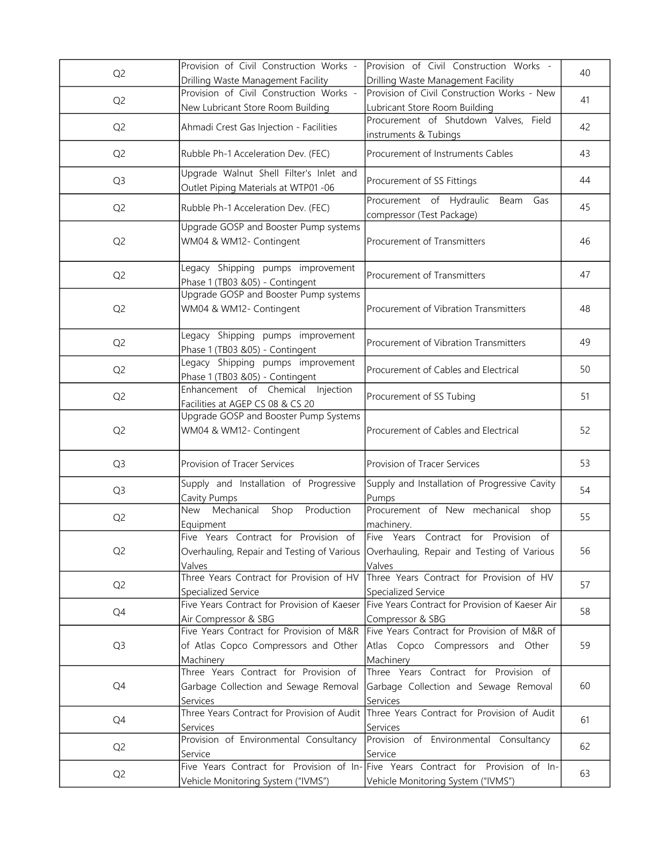| Q <sub>2</sub> | Provision of Civil Construction Works -<br>Drilling Waste Management Facility                 | Provision of Civil Construction Works -<br>Drilling Waste Management Facility                                                             | 40 |
|----------------|-----------------------------------------------------------------------------------------------|-------------------------------------------------------------------------------------------------------------------------------------------|----|
| Q <sub>2</sub> | Provision of Civil Construction Works -<br>New Lubricant Store Room Building                  | Provision of Civil Construction Works - New<br>Lubricant Store Room Building                                                              | 41 |
| Q <sub>2</sub> | Ahmadi Crest Gas Injection - Facilities                                                       | Procurement of Shutdown Valves, Field<br>instruments & Tubings                                                                            | 42 |
| Q <sub>2</sub> | Rubble Ph-1 Acceleration Dev. (FEC)                                                           | Procurement of Instruments Cables                                                                                                         | 43 |
| Q <sub>3</sub> | Upgrade Walnut Shell Filter's Inlet and<br>Outlet Piping Materials at WTP01 -06               | Procurement of SS Fittings                                                                                                                | 44 |
| Q <sub>2</sub> | Rubble Ph-1 Acceleration Dev. (FEC)                                                           | Procurement of Hydraulic Beam<br>Gas<br>compressor (Test Package)                                                                         | 45 |
| Q <sub>2</sub> | Upgrade GOSP and Booster Pump systems<br>WM04 & WM12- Contingent                              | Procurement of Transmitters                                                                                                               | 46 |
| Q <sub>2</sub> | Legacy Shipping pumps improvement<br>Phase 1 (TB03 &05) - Contingent                          | Procurement of Transmitters                                                                                                               | 47 |
| Q <sub>2</sub> | Upgrade GOSP and Booster Pump systems<br>WM04 & WM12- Contingent                              | Procurement of Vibration Transmitters                                                                                                     | 48 |
| Q <sub>2</sub> | Legacy Shipping pumps improvement<br>Phase 1 (TB03 &05) - Contingent                          | Procurement of Vibration Transmitters                                                                                                     | 49 |
| Q <sub>2</sub> | Legacy Shipping pumps improvement<br>Phase 1 (TB03 &05) - Contingent                          | Procurement of Cables and Electrical                                                                                                      | 50 |
| Q <sub>2</sub> | Enhancement of Chemical Injection<br>Facilities at AGEP CS 08 & CS 20                         | Procurement of SS Tubing                                                                                                                  | 51 |
| Q <sub>2</sub> | Upgrade GOSP and Booster Pump Systems<br>WM04 & WM12- Contingent                              | Procurement of Cables and Electrical                                                                                                      | 52 |
| Q <sub>3</sub> | Provision of Tracer Services                                                                  | Provision of Tracer Services                                                                                                              | 53 |
| Q <sub>3</sub> | Supply and Installation of Progressive<br>Cavity Pumps                                        | Supply and Installation of Progressive Cavity<br>Pumps                                                                                    | 54 |
| Q <sub>2</sub> | Mechanical<br>Shop<br>Production<br><b>New</b><br>Equipment                                   | Procurement of New mechanical<br>shop<br>machinery.                                                                                       | 55 |
| Q <sub>2</sub> | Five Years Contract for Provision of<br>Valves                                                | Five Years Contract for Provision of<br>Overhauling, Repair and Testing of Various   Overhauling, Repair and Testing of Various<br>Valves | 56 |
| Q <sub>2</sub> | Three Years Contract for Provision of HV<br>Specialized Service                               | Three Years Contract for Provision of HV<br>Specialized Service                                                                           | 57 |
| Q4             | Five Years Contract for Provision of Kaeser<br>Air Compressor & SBG                           | Five Years Contract for Provision of Kaeser Air<br>Compressor & SBG                                                                       | 58 |
| Q <sub>3</sub> | Five Years Contract for Provision of M&R<br>of Atlas Copco Compressors and Other<br>Machinery | Five Years Contract for Provision of M&R of<br>Atlas Copco Compressors and Other<br>Machinery                                             | 59 |
| Q4             | Three Years Contract for Provision of<br>Garbage Collection and Sewage Removal<br>Services    | Three Years Contract for Provision of<br>Garbage Collection and Sewage Removal<br>Services                                                | 60 |
| Q4             | Services                                                                                      | Three Years Contract for Provision of Audit Three Years Contract for Provision of Audit<br>Services                                       | 61 |
| Q <sub>2</sub> | Provision of Environmental Consultancy<br>Service                                             | Provision of Environmental Consultancy<br>Service                                                                                         | 62 |
| Q <sub>2</sub> | Vehicle Monitoring System ("IVMS")                                                            | Five Years Contract for Provision of In-Five Years Contract for Provision of In-<br>Vehicle Monitoring System ("IVMS")                    | 63 |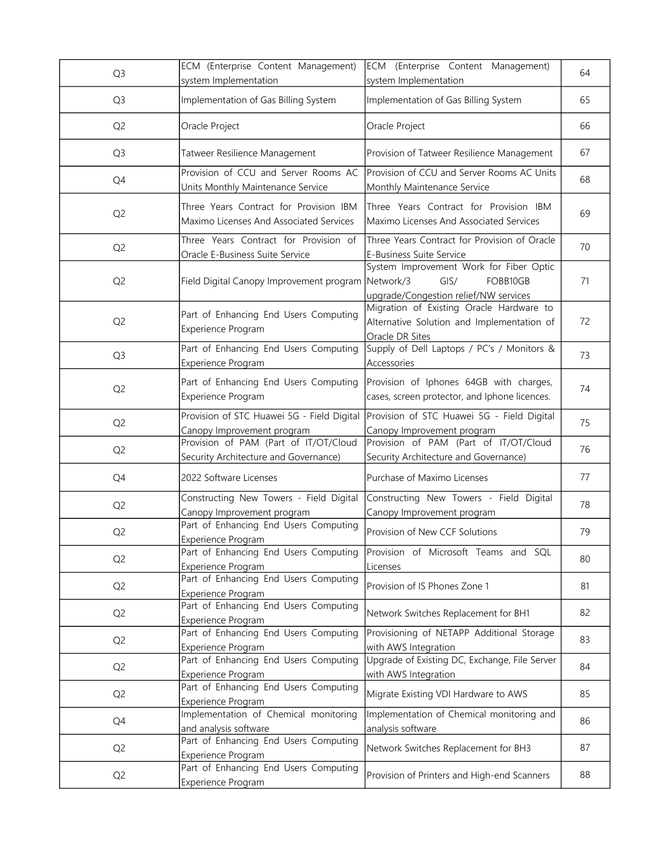| Q <sub>3</sub> | ECM (Enterprise Content Management)<br>system Implementation                      | ECM (Enterprise Content Management)<br>system Implementation                                                      | 64 |
|----------------|-----------------------------------------------------------------------------------|-------------------------------------------------------------------------------------------------------------------|----|
| Q <sub>3</sub> | Implementation of Gas Billing System                                              | Implementation of Gas Billing System                                                                              | 65 |
| Q <sub>2</sub> | Oracle Project                                                                    | Oracle Project                                                                                                    | 66 |
| Q <sub>3</sub> | Tatweer Resilience Management                                                     | Provision of Tatweer Resilience Management                                                                        | 67 |
| Q4             | Provision of CCU and Server Rooms AC<br>Units Monthly Maintenance Service         | Provision of CCU and Server Rooms AC Units<br>Monthly Maintenance Service                                         | 68 |
| Q <sub>2</sub> | Three Years Contract for Provision IBM<br>Maximo Licenses And Associated Services | Three Years Contract for Provision IBM<br>Maximo Licenses And Associated Services                                 | 69 |
| Q <sub>2</sub> | Three Years Contract for Provision of<br>Oracle E-Business Suite Service          | Three Years Contract for Provision of Oracle<br>E-Business Suite Service                                          | 70 |
| Q <sub>2</sub> | Field Digital Canopy Improvement program                                          | System Improvement Work for Fiber Optic<br>Network/3<br>GIS/<br>FOBB10GB<br>upgrade/Congestion relief/NW services | 71 |
| Q <sub>2</sub> | Part of Enhancing End Users Computing<br>Experience Program                       | Migration of Existing Oracle Hardware to<br>Alternative Solution and Implementation of<br>Oracle DR Sites         | 72 |
| Q <sub>3</sub> | Part of Enhancing End Users Computing<br>Experience Program                       | Supply of Dell Laptops / PC's / Monitors &<br>Accessories                                                         | 73 |
| Q <sub>2</sub> | Part of Enhancing End Users Computing<br>Experience Program                       | Provision of Iphones 64GB with charges,<br>cases, screen protector, and Iphone licences.                          | 74 |
| Q <sub>2</sub> | Provision of STC Huawei 5G - Field Digital<br>Canopy Improvement program          | Provision of STC Huawei 5G - Field Digital<br>Canopy Improvement program                                          | 75 |
| Q <sub>2</sub> | Provision of PAM (Part of IT/OT/Cloud<br>Security Architecture and Governance)    | Provision of PAM (Part of IT/OT/Cloud<br>Security Architecture and Governance)                                    | 76 |
| Q4             | 2022 Software Licenses                                                            | Purchase of Maximo Licenses                                                                                       | 77 |
| Q <sub>2</sub> | Constructing New Towers - Field Digital<br>Canopy Improvement program             | Constructing New Towers - Field Digital<br>Canopy Improvement program                                             | 78 |
| Q <sub>2</sub> | Part of Enhancing End Users Computing<br>Experience Program                       | Provision of New CCF Solutions                                                                                    | 79 |
| Q <sub>2</sub> | Part of Enhancing End Users Computing<br>Experience Program                       | Provision of Microsoft Teams and SQL<br>Licenses                                                                  | 80 |
| Q <sub>2</sub> | Part of Enhancing End Users Computing<br>Experience Program                       | Provision of IS Phones Zone 1                                                                                     | 81 |
| Q <sub>2</sub> | Part of Enhancing End Users Computing<br>Experience Program                       | Network Switches Replacement for BH1                                                                              | 82 |
| Q <sub>2</sub> | Part of Enhancing End Users Computing<br>Experience Program                       | Provisioning of NETAPP Additional Storage<br>with AWS Integration                                                 | 83 |
| Q <sub>2</sub> | Part of Enhancing End Users Computing<br>Experience Program                       | Upgrade of Existing DC, Exchange, File Server<br>with AWS Integration                                             | 84 |
| Q <sub>2</sub> | Part of Enhancing End Users Computing<br>Experience Program                       | Migrate Existing VDI Hardware to AWS                                                                              | 85 |
| Q4             | Implementation of Chemical monitoring<br>and analysis software                    | Implementation of Chemical monitoring and<br>analysis software                                                    | 86 |
| Q <sub>2</sub> | Part of Enhancing End Users Computing<br>Experience Program                       | Network Switches Replacement for BH3                                                                              | 87 |
| Q <sub>2</sub> | Part of Enhancing End Users Computing<br>Experience Program                       | Provision of Printers and High-end Scanners                                                                       | 88 |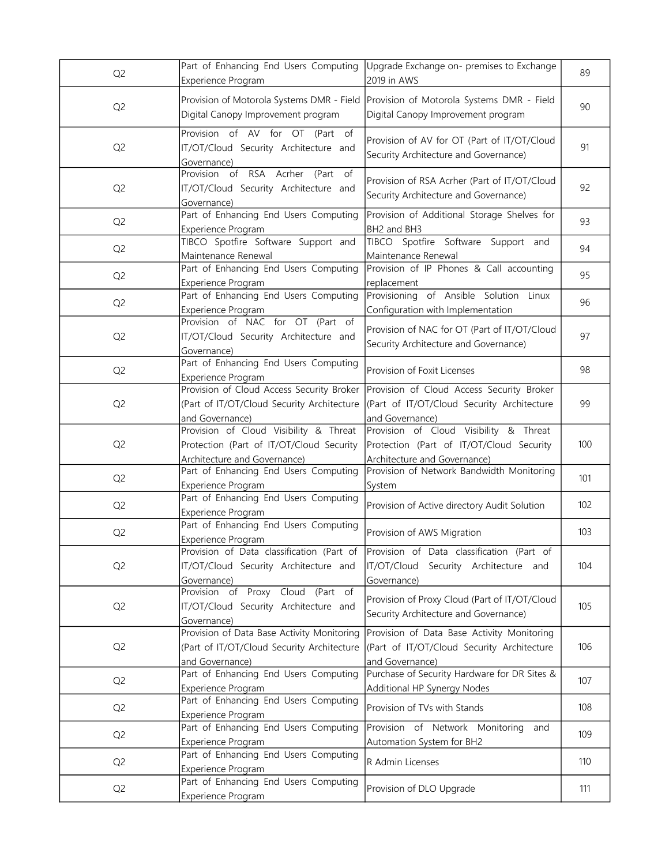| Q <sub>2</sub> | Part of Enhancing End Users Computing<br>Experience Program                                                        | Upgrade Exchange on- premises to Exchange<br>2019 in AWS                                                           | 89  |
|----------------|--------------------------------------------------------------------------------------------------------------------|--------------------------------------------------------------------------------------------------------------------|-----|
| Q <sub>2</sub> | Provision of Motorola Systems DMR - Field<br>Digital Canopy Improvement program                                    | Provision of Motorola Systems DMR - Field<br>Digital Canopy Improvement program                                    | 90  |
| Q <sub>2</sub> | Provision of AV for OT (Part of<br>IT/OT/Cloud Security Architecture and<br>Governance)                            | Provision of AV for OT (Part of IT/OT/Cloud<br>Security Architecture and Governance)                               | 91  |
| Q <sub>2</sub> | Provision of RSA Acrher (Part of<br>IT/OT/Cloud Security Architecture and<br>Governance)                           | Provision of RSA Acrher (Part of IT/OT/Cloud<br>Security Architecture and Governance)                              | 92  |
| Q <sub>2</sub> | Part of Enhancing End Users Computing<br>Experience Program                                                        | Provision of Additional Storage Shelves for<br>BH2 and BH3                                                         | 93  |
| Q <sub>2</sub> | TIBCO Spotfire Software Support and<br>Maintenance Renewal                                                         | TIBCO Spotfire Software Support and<br>Maintenance Renewal                                                         | 94  |
| Q <sub>2</sub> | Part of Enhancing End Users Computing<br>Experience Program                                                        | Provision of IP Phones & Call accounting<br>replacement                                                            | 95  |
| Q <sub>2</sub> | Part of Enhancing End Users Computing<br>Experience Program                                                        | Provisioning of Ansible Solution Linux<br>Configuration with Implementation                                        | 96  |
| Q <sub>2</sub> | Provision of NAC for OT (Part of<br>IT/OT/Cloud Security Architecture and<br>Governance)                           | Provision of NAC for OT (Part of IT/OT/Cloud<br>Security Architecture and Governance)                              | 97  |
| Q <sub>2</sub> | Part of Enhancing End Users Computing<br>Experience Program                                                        | Provision of Foxit Licenses                                                                                        | 98  |
| Q <sub>2</sub> | Provision of Cloud Access Security Broker<br>(Part of IT/OT/Cloud Security Architecture<br>and Governance)         | Provision of Cloud Access Security Broker<br>(Part of IT/OT/Cloud Security Architecture<br>and Governance)         | 99  |
| Q <sub>2</sub> | Provision of Cloud Visibility & Threat<br>Protection (Part of IT/OT/Cloud Security<br>Architecture and Governance) | Provision of Cloud Visibility & Threat<br>Protection (Part of IT/OT/Cloud Security<br>Architecture and Governance) | 100 |
| Q <sub>2</sub> | Part of Enhancing End Users Computing<br>Experience Program                                                        | Provision of Network Bandwidth Monitoring<br>System                                                                | 101 |
| Q <sub>2</sub> | Part of Enhancing End Users Computing<br>Experience Program                                                        | Provision of Active directory Audit Solution                                                                       | 102 |
| Q <sub>2</sub> | Part of Enhancing End Users Computing<br>Experience Program                                                        | Provision of AWS Migration                                                                                         | 103 |
| Q <sub>2</sub> | Provision of Data classification (Part of<br>IT/OT/Cloud Security Architecture and<br>Governance)                  | Provision of Data classification (Part of<br>IT/OT/Cloud Security Architecture and<br>Governance)                  | 104 |
| Q <sub>2</sub> | Provision of Proxy Cloud (Part of<br>IT/OT/Cloud Security Architecture and<br>Governance)                          | Provision of Proxy Cloud (Part of IT/OT/Cloud<br>Security Architecture and Governance)                             | 105 |
| Q <sub>2</sub> | Provision of Data Base Activity Monitoring<br>(Part of IT/OT/Cloud Security Architecture<br>and Governance)        | Provision of Data Base Activity Monitoring<br>(Part of IT/OT/Cloud Security Architecture<br>and Governance)        | 106 |
| Q <sub>2</sub> | Part of Enhancing End Users Computing<br>Experience Program                                                        | Purchase of Security Hardware for DR Sites &<br>Additional HP Synergy Nodes                                        | 107 |
| Q <sub>2</sub> | Part of Enhancing End Users Computing<br>Experience Program                                                        | Provision of TVs with Stands                                                                                       | 108 |
| Q <sub>2</sub> | Part of Enhancing End Users Computing<br>Experience Program                                                        | Provision of Network Monitoring<br>and<br>Automation System for BH2                                                | 109 |
| Q <sub>2</sub> | Part of Enhancing End Users Computing<br>Experience Program                                                        | R Admin Licenses                                                                                                   | 110 |
| Q <sub>2</sub> | Part of Enhancing End Users Computing<br>Experience Program                                                        | Provision of DLO Upgrade                                                                                           | 111 |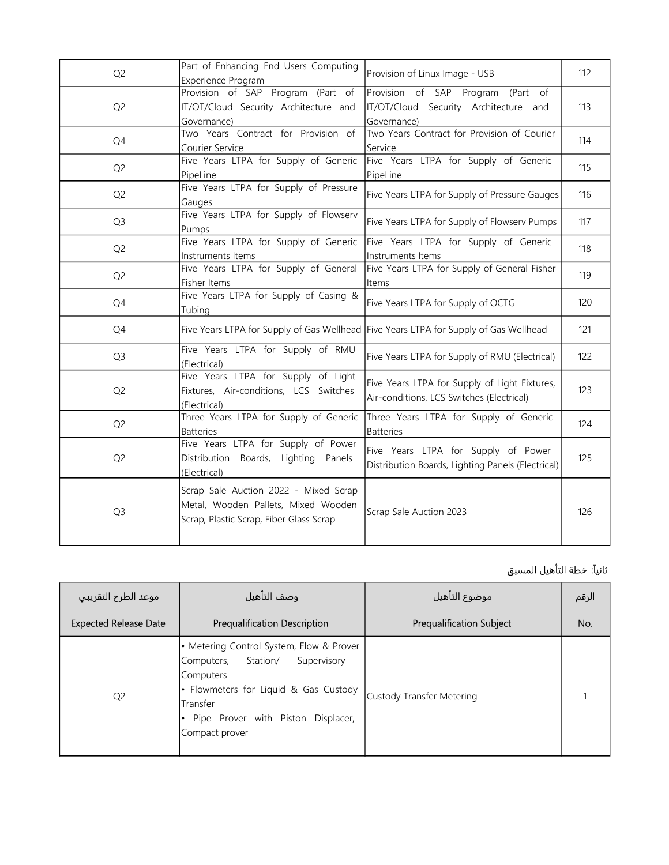| Q <sub>2</sub> | Part of Enhancing End Users Computing<br>Experience Program                                                             | Provision of Linux Image - USB                                                             | 112 |
|----------------|-------------------------------------------------------------------------------------------------------------------------|--------------------------------------------------------------------------------------------|-----|
| Q <sub>2</sub> | Provision of SAP Program (Part of<br>IT/OT/Cloud Security Architecture and<br>Governance)                               | Provision of SAP Program (Part of<br>IT/OT/Cloud Security Architecture and<br>Governance)  | 113 |
| Q4             | Two Years Contract for Provision of<br>Courier Service                                                                  | Two Years Contract for Provision of Courier<br>Service                                     | 114 |
| Q <sub>2</sub> | Five Years LTPA for Supply of Generic<br>PipeLine                                                                       | Five Years LTPA for Supply of Generic<br>PipeLine                                          | 115 |
| Q <sub>2</sub> | Five Years LTPA for Supply of Pressure<br>Gauges                                                                        | Five Years LTPA for Supply of Pressure Gauges                                              | 116 |
| Q <sub>3</sub> | Five Years LTPA for Supply of Flowserv<br>Pumps                                                                         | Five Years LTPA for Supply of Flowserv Pumps                                               | 117 |
| Q <sub>2</sub> | Five Years LTPA for Supply of Generic<br>Instruments Items                                                              | Five Years LTPA for Supply of Generic<br>Instruments Items                                 | 118 |
| Q <sub>2</sub> | Five Years LTPA for Supply of General<br>Fisher Items                                                                   | Five Years LTPA for Supply of General Fisher<br>Items                                      | 119 |
| Q4             | Five Years LTPA for Supply of Casing &<br>Tubing                                                                        | Five Years LTPA for Supply of OCTG                                                         | 120 |
| Q4             |                                                                                                                         | Five Years LTPA for Supply of Gas Wellhead Five Years LTPA for Supply of Gas Wellhead      | 121 |
| Q <sub>3</sub> | Five Years LTPA for Supply of RMU<br>(Electrical)                                                                       | Five Years LTPA for Supply of RMU (Electrical)                                             | 122 |
| Q <sub>2</sub> | Five Years LTPA for Supply of Light<br>Fixtures, Air-conditions, LCS Switches<br>(Electrical)                           | Five Years LTPA for Supply of Light Fixtures,<br>Air-conditions, LCS Switches (Electrical) | 123 |
| Q <sub>2</sub> | Three Years LTPA for Supply of Generic<br><b>Batteries</b>                                                              | Three Years LTPA for Supply of Generic<br>Batteries                                        | 124 |
| Q <sub>2</sub> | Five Years LTPA for Supply of Power<br>Distribution Boards, Lighting Panels<br>(Electrical)                             | Five Years LTPA for Supply of Power<br>Distribution Boards, Lighting Panels (Electrical)   | 125 |
| Q <sub>3</sub> | Scrap Sale Auction 2022 - Mixed Scrap<br>Metal, Wooden Pallets, Mixed Wooden<br>Scrap, Plastic Scrap, Fiber Glass Scrap | Scrap Sale Auction 2023                                                                    | 126 |

## ثانياً: خطة التأهيل المسبق

| موعد الطرح التقريبي          | وصف التأهيل                                                                                                                                                                                                 | موضوع التأهيل                   | الرقم |
|------------------------------|-------------------------------------------------------------------------------------------------------------------------------------------------------------------------------------------------------------|---------------------------------|-------|
| <b>Expected Release Date</b> | <b>Prequalification Description</b>                                                                                                                                                                         | <b>Prequalification Subject</b> | No.   |
| Q <sub>2</sub>               | • Metering Control System, Flow & Prover<br>Supervisory<br>Station/<br>Computers,<br>Computers<br>• Flowmeters for Liquid & Gas Custody<br>Transfer<br>Pipe Prover with Piston Displacer,<br>Compact prover | Custody Transfer Metering       |       |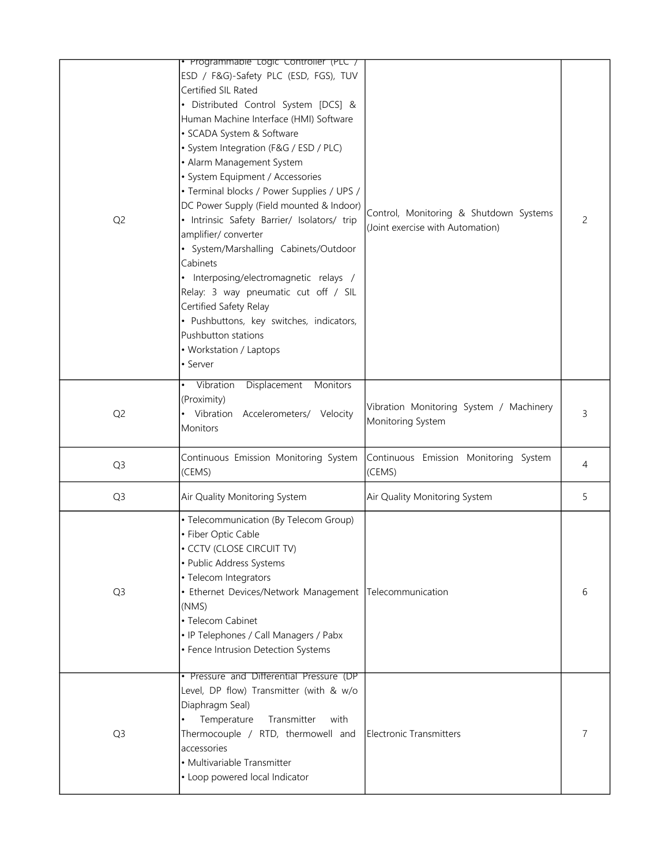|                | Programmable Logic Controller (PLC /                                                                                                                                                                                                                                                                                                                                                                                                                                                                                                                                                                                                                                                                                               |                                                                            |   |
|----------------|------------------------------------------------------------------------------------------------------------------------------------------------------------------------------------------------------------------------------------------------------------------------------------------------------------------------------------------------------------------------------------------------------------------------------------------------------------------------------------------------------------------------------------------------------------------------------------------------------------------------------------------------------------------------------------------------------------------------------------|----------------------------------------------------------------------------|---|
| Q <sub>2</sub> | ESD / F&G)-Safety PLC (ESD, FGS), TUV<br>Certified SIL Rated<br>· Distributed Control System [DCS] &<br>Human Machine Interface (HMI) Software<br>· SCADA System & Software<br>· System Integration (F&G / ESD / PLC)<br>• Alarm Management System<br>· System Equipment / Accessories<br>· Terminal blocks / Power Supplies / UPS /<br>DC Power Supply (Field mounted & Indoor)<br>· Intrinsic Safety Barrier/ Isolators/ trip<br>amplifier/ converter<br>· System/Marshalling Cabinets/Outdoor<br>Cabinets<br>• Interposing/electromagnetic relays /<br>Relay: 3 way pneumatic cut off / SIL<br>Certified Safety Relay<br>· Pushbuttons, key switches, indicators,<br>Pushbutton stations<br>• Workstation / Laptops<br>• Server | Control, Monitoring & Shutdown Systems<br>(Joint exercise with Automation) | 2 |
| Q <sub>2</sub> | Displacement<br>Vibration<br>Monitors<br>(Proximity)<br>Vibration Accelerometers/ Velocity<br><b>Monitors</b>                                                                                                                                                                                                                                                                                                                                                                                                                                                                                                                                                                                                                      | Vibration Monitoring System / Machinery<br>Monitoring System               | 3 |
| Q <sub>3</sub> | Continuous Emission Monitoring System<br>(CEMS)                                                                                                                                                                                                                                                                                                                                                                                                                                                                                                                                                                                                                                                                                    | Continuous Emission Monitoring System<br>(CEMS)                            | 4 |
| Q <sub>3</sub> | Air Quality Monitoring System                                                                                                                                                                                                                                                                                                                                                                                                                                                                                                                                                                                                                                                                                                      | Air Quality Monitoring System                                              | 5 |
| Q <sub>3</sub> | · Telecommunication (By Telecom Group)<br>• Fiber Optic Cable<br>· CCTV (CLOSE CIRCUIT TV)<br>• Public Address Systems<br>• Telecom Integrators<br>• Ethernet Devices/Network Management Telecommunication<br>(NMS)<br>• Telecom Cabinet<br>• IP Telephones / Call Managers / Pabx<br>• Fence Intrusion Detection Systems                                                                                                                                                                                                                                                                                                                                                                                                          |                                                                            | 6 |
| Q <sub>3</sub> | • Pressure and Differential Pressure (DP<br>Level, DP flow) Transmitter (with & w/o<br>Diaphragm Seal)<br>Temperature<br>Transmitter<br>with<br>Thermocouple / RTD, thermowell and<br>accessories<br>• Multivariable Transmitter<br>• Loop powered local Indicator                                                                                                                                                                                                                                                                                                                                                                                                                                                                 | Electronic Transmitters                                                    | 7 |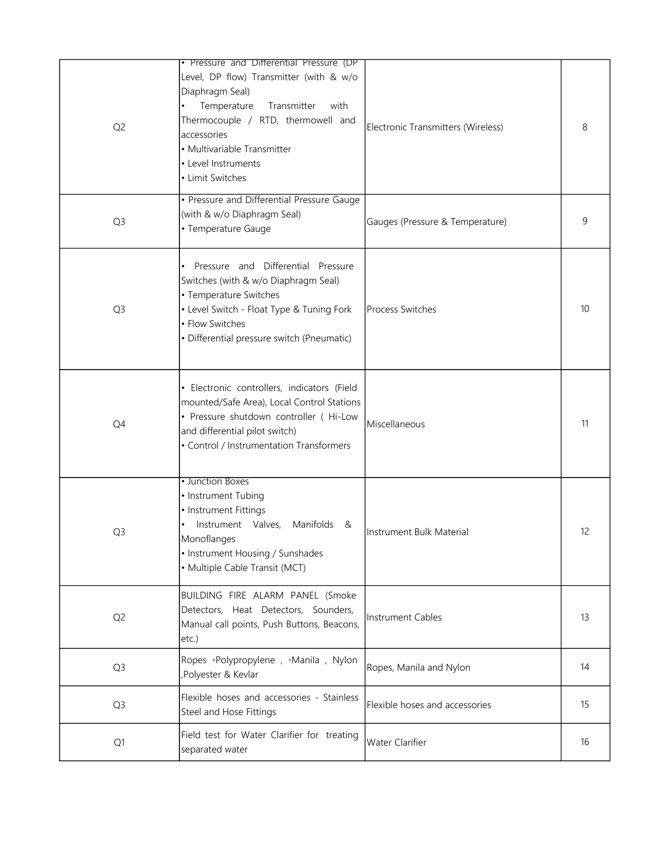| Q <sub>2</sub> | • Pressure and Differential Pressure (DP<br>Level, DP flow) Transmitter (with & w/o<br>Diaphragm Seal)<br>Temperature<br>Transmitter<br>with<br>Thermocouple / RTD, thermowell and<br>accessories<br>• Multivariable Transmitter<br>• Level Instruments<br>• Limit Switches | Electronic Transmitters (Wireless) | 8  |
|----------------|-----------------------------------------------------------------------------------------------------------------------------------------------------------------------------------------------------------------------------------------------------------------------------|------------------------------------|----|
| Q <sub>3</sub> | • Pressure and Differential Pressure Gauge<br>(with & w/o Diaphragm Seal)<br>• Temperature Gauge                                                                                                                                                                            | Gauges (Pressure & Temperature)    | 9  |
| Q <sub>3</sub> | Pressure and Differential Pressure<br>Switches (with & w/o Diaphragm Seal)<br>• Temperature Switches<br>• Level Switch - Float Type & Tuning Fork<br>• Flow Switches<br>· Differential pressure switch (Pneumatic)                                                          | <b>Process Switches</b>            | 10 |
| Q4             | · Electronic controllers, indicators (Field<br>mounted/Safe Area), Local Control Stations<br>· Pressure shutdown controller ( Hi-Low<br>and differential pilot switch)<br>• Control / Instrumentation Transformers                                                          | Miscellaneous                      | 11 |
| Q <sub>3</sub> | • Junction Boxes<br>• Instrument Tubing<br>• Instrument Fittings<br>Instrument Valves,<br>Manifolds &<br>Monoflanges<br>• Instrument Housing / Sunshades<br>• Multiple Cable Transit (MCT)                                                                                  | Instrument Bulk Material           | 12 |
| Q <sub>2</sub> | BUILDING FIRE ALARM PANEL (Smoke<br>Detectors, Heat Detectors, Sounders,<br>Manual call points, Push Buttons, Beacons,<br>etc.)                                                                                                                                             | Instrument Cables                  | 13 |
| Q <sub>3</sub> | Ropes .Polypropylene, .Manila, Nylon<br>Polyester & Kevlar                                                                                                                                                                                                                  | Ropes, Manila and Nylon            | 14 |
| Q <sub>3</sub> | Flexible hoses and accessories - Stainless<br>Steel and Hose Fittings                                                                                                                                                                                                       | Flexible hoses and accessories     | 15 |
| Q1             | Field test for Water Clarifier for treating<br>separated water                                                                                                                                                                                                              | Water Clarifier                    | 16 |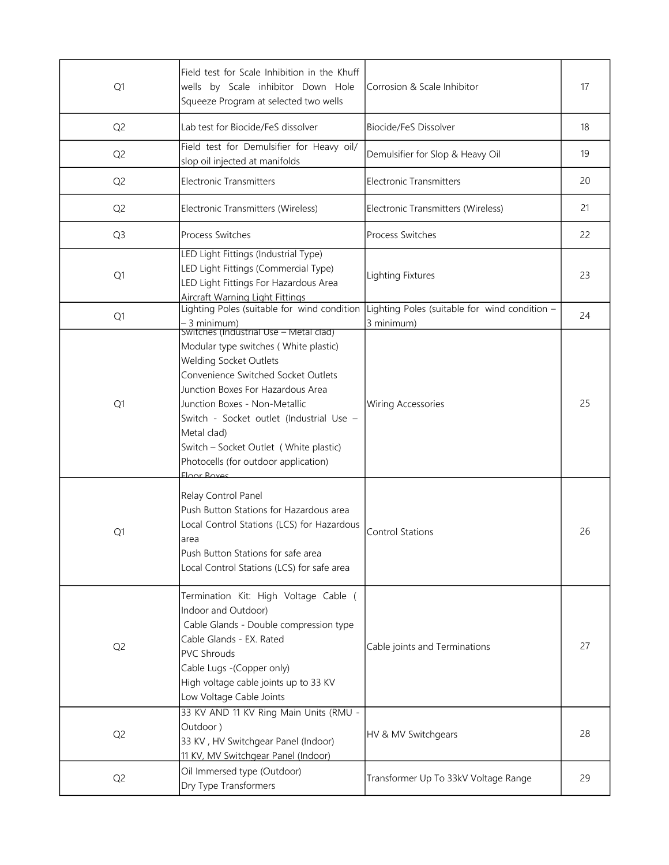| Q1             | Field test for Scale Inhibition in the Khuff<br>wells by Scale inhibitor Down Hole<br>Squeeze Program at selected two wells                                                                                                                                                                                                                     | Corrosion & Scale Inhibitor                                 | 17 |
|----------------|-------------------------------------------------------------------------------------------------------------------------------------------------------------------------------------------------------------------------------------------------------------------------------------------------------------------------------------------------|-------------------------------------------------------------|----|
| Q <sub>2</sub> | Lab test for Biocide/FeS dissolver                                                                                                                                                                                                                                                                                                              | Biocide/FeS Dissolver                                       | 18 |
| Q <sub>2</sub> | Field test for Demulsifier for Heavy oil/<br>slop oil injected at manifolds                                                                                                                                                                                                                                                                     | Demulsifier for Slop & Heavy Oil                            | 19 |
| Q <sub>2</sub> | <b>Electronic Transmitters</b>                                                                                                                                                                                                                                                                                                                  | <b>Electronic Transmitters</b>                              | 20 |
| Q <sub>2</sub> | Electronic Transmitters (Wireless)                                                                                                                                                                                                                                                                                                              | Electronic Transmitters (Wireless)                          | 21 |
| Q <sub>3</sub> | <b>Process Switches</b>                                                                                                                                                                                                                                                                                                                         | <b>Process Switches</b>                                     | 22 |
| Q1             | LED Light Fittings (Industrial Type)<br>LED Light Fittings (Commercial Type)<br>LED Light Fittings For Hazardous Area<br><b>Aircraft Warning Light Fittings</b>                                                                                                                                                                                 | <b>Lighting Fixtures</b>                                    | 23 |
| Q1             | Lighting Poles (suitable for wind condition<br>– 3 minimum)<br>Switches (Industrial Use – Metal clad)                                                                                                                                                                                                                                           | Lighting Poles (suitable for wind condition -<br>3 minimum) | 24 |
| Q1             | Modular type switches (White plastic)<br><b>Welding Socket Outlets</b><br>Convenience Switched Socket Outlets<br>Junction Boxes For Hazardous Area<br>Junction Boxes - Non-Metallic<br>Switch - Socket outlet (Industrial Use -<br>Metal clad)<br>Switch - Socket Outlet (White plastic)<br>Photocells (for outdoor application)<br>Floor Roves | Wiring Accessories                                          | 25 |
| Q1             | Relay Control Panel<br>Push Button Stations for Hazardous area<br>Local Control Stations (LCS) for Hazardous<br>area<br>Push Button Stations for safe area<br>Local Control Stations (LCS) for safe area                                                                                                                                        | <b>Control Stations</b>                                     | 26 |
| Q <sub>2</sub> | Termination Kit: High Voltage Cable (<br>Indoor and Outdoor)<br>Cable Glands - Double compression type<br>Cable Glands - EX. Rated<br><b>PVC Shrouds</b><br>Cable Lugs -(Copper only)<br>High voltage cable joints up to 33 KV<br>Low Voltage Cable Joints                                                                                      | Cable joints and Terminations                               | 27 |
| Q <sub>2</sub> | 33 KV AND 11 KV Ring Main Units (RMU -<br>Outdoor)<br>33 KV, HV Switchgear Panel (Indoor)<br>11 KV, MV Switchgear Panel (Indoor)                                                                                                                                                                                                                | HV & MV Switchgears                                         | 28 |
| Q <sub>2</sub> | Oil Immersed type (Outdoor)<br>Dry Type Transformers                                                                                                                                                                                                                                                                                            | Transformer Up To 33kV Voltage Range                        | 29 |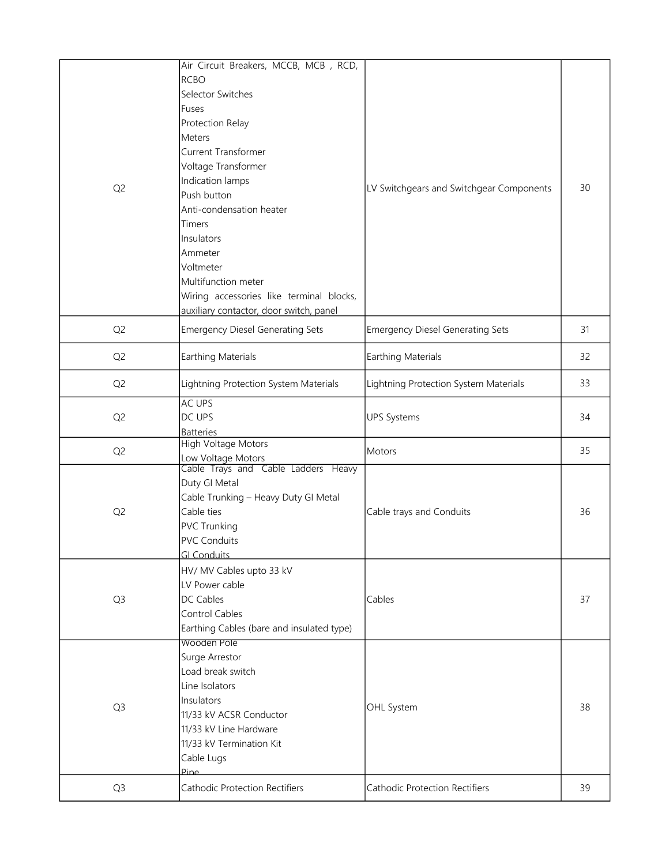| Q <sub>2</sub> | Air Circuit Breakers, MCCB, MCB, RCD,<br><b>RCBO</b><br>Selector Switches<br>Fuses<br>Protection Relay<br>Meters<br>Current Transformer<br>Voltage Transformer<br>Indication lamps<br>Push button<br>Anti-condensation heater<br><b>Timers</b><br>Insulators<br>Ammeter<br>Voltmeter<br>Multifunction meter<br>Wiring accessories like terminal blocks,<br>auxiliary contactor, door switch, panel | LV Switchgears and Switchgear Components | 30 |
|----------------|----------------------------------------------------------------------------------------------------------------------------------------------------------------------------------------------------------------------------------------------------------------------------------------------------------------------------------------------------------------------------------------------------|------------------------------------------|----|
| Q <sub>2</sub> | <b>Emergency Diesel Generating Sets</b>                                                                                                                                                                                                                                                                                                                                                            | <b>Emergency Diesel Generating Sets</b>  | 31 |
| Q <sub>2</sub> | <b>Earthing Materials</b>                                                                                                                                                                                                                                                                                                                                                                          | <b>Earthing Materials</b>                | 32 |
| Q <sub>2</sub> | Lightning Protection System Materials                                                                                                                                                                                                                                                                                                                                                              | Lightning Protection System Materials    | 33 |
| Q <sub>2</sub> | AC UPS<br>DC UPS<br><b>Batteries</b>                                                                                                                                                                                                                                                                                                                                                               | <b>UPS Systems</b>                       | 34 |
| Q <sub>2</sub> | High Voltage Motors                                                                                                                                                                                                                                                                                                                                                                                | Motors                                   | 35 |
| Q <sub>2</sub> | Low Voltage Motors<br>Cable Trays and Cable Ladders Heavy<br>Duty GI Metal<br>Cable Trunking - Heavy Duty GI Metal<br>Cable ties<br><b>PVC Trunking</b><br><b>PVC Conduits</b><br><b>GI Conduits</b>                                                                                                                                                                                               | Cable trays and Conduits                 | 36 |
| Q <sub>3</sub> | HV/ MV Cables upto 33 kV<br>LV Power cable<br>DC Cables<br>Control Cables<br>Earthing Cables (bare and insulated type)                                                                                                                                                                                                                                                                             | Cables                                   | 37 |
| Q <sub>3</sub> | Wooden Pole<br>Surge Arrestor<br>Load break switch<br>Line Isolators<br>Insulators<br>11/33 kV ACSR Conductor<br>11/33 kV Line Hardware<br>11/33 kV Termination Kit<br>Cable Lugs<br>Pine                                                                                                                                                                                                          | OHL System                               | 38 |
| Q <sub>3</sub> | <b>Cathodic Protection Rectifiers</b>                                                                                                                                                                                                                                                                                                                                                              | <b>Cathodic Protection Rectifiers</b>    | 39 |